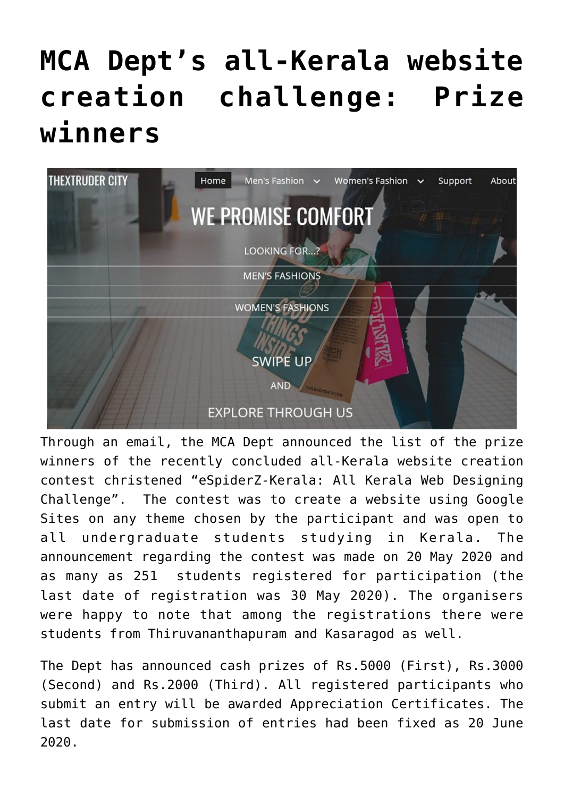## **[MCA Dept's all-Kerala website](https://news.vidyaacademy.ac.in/2020/07/16/mca-depts-all-kerala-website-creation-challenge-prize-winners/) [creation challenge: Prize](https://news.vidyaacademy.ac.in/2020/07/16/mca-depts-all-kerala-website-creation-challenge-prize-winners/) [winners](https://news.vidyaacademy.ac.in/2020/07/16/mca-depts-all-kerala-website-creation-challenge-prize-winners/)**



Through an email, the MCA Dept announced the list of the prize winners of the recently concluded all-Kerala website creation contest christened "eSpiderZ-Kerala: All Kerala Web Designing Challenge". The contest was to create a website using Google Sites on any theme chosen by the participant and was open to all undergraduate students studying in Kerala. The announcement regarding the contest was made on 20 May 2020 and as many as 251 students registered for participation (the last date of registration was 30 May 2020). The organisers were happy to note that among the registrations there were students from Thiruvananthapuram and Kasaragod as well.

The Dept has announced cash prizes of Rs.5000 (First), Rs.3000 (Second) and Rs.2000 (Third). All registered participants who submit an entry will be awarded Appreciation Certificates. The last date for submission of entries had been fixed as 20 June 2020.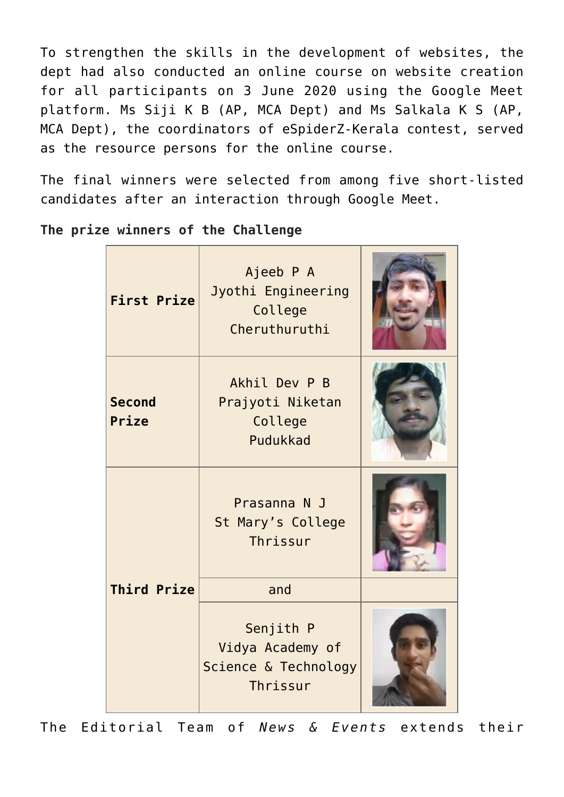To strengthen the skills in the development of websites, the dept had also conducted an online course on website creation for all participants on 3 June 2020 using the Google Meet platform. Ms Siji K B (AP, MCA Dept) and Ms Salkala K S (AP, MCA Dept), the coordinators of eSpiderZ-Kerala contest, served as the resource persons for the online course.

The final winners were selected from among five short-listed candidates after an interaction through Google Meet.

| <b>First Prize</b>     | Ajeeb P A<br>Jyothi Engineering<br>College<br>Cheruthuruthi       |  |
|------------------------|-------------------------------------------------------------------|--|
| <b>Second</b><br>Prize | Akhil Dev P B<br>Prajyoti Niketan<br>College<br>Pudukkad          |  |
| <b>Third Prize</b>     | Prasanna N J<br>St Mary's College<br>Thrissur                     |  |
|                        | and                                                               |  |
|                        | Senjith P<br>Vidya Academy of<br>Science & Technology<br>Thrissur |  |

**The prize winners of the Challenge**

The Editorial Team of *News & Events* extends their